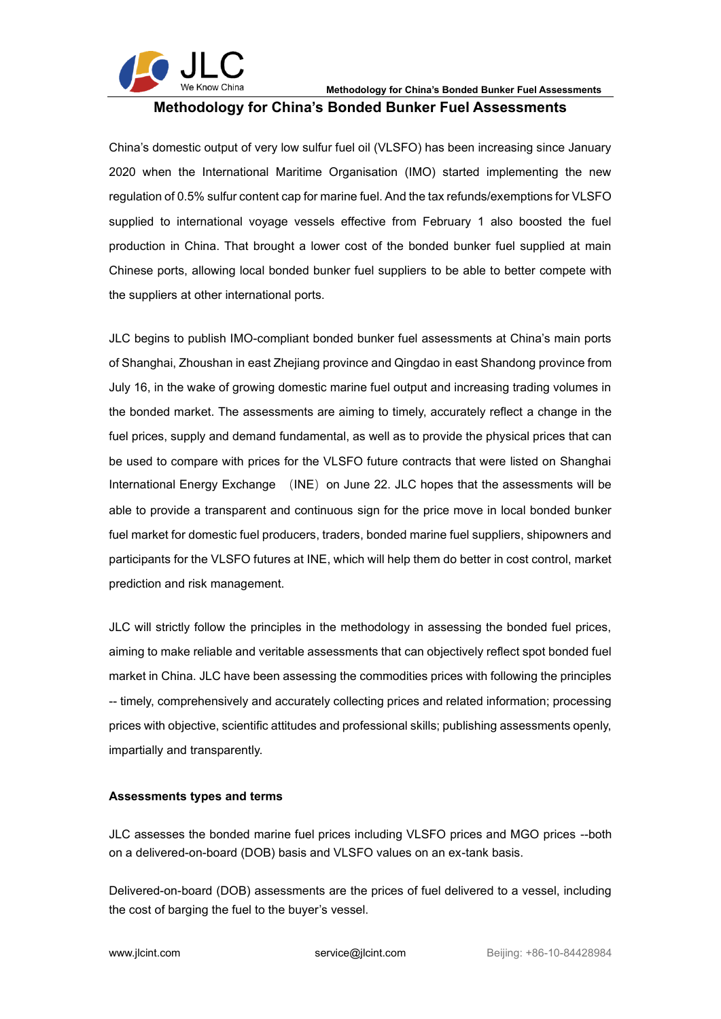

# **Methodology for China's Bonded Bunker Fuel Assessments**

China's domestic output of very low sulfur fuel oil (VLSFO) has been increasing since January 2020 when the International Maritime Organisation (IMO) started implementing the new regulation of 0.5% sulfur content cap for marine fuel. And the tax refunds/exemptions for VLSFO supplied to international voyage vessels effective from February 1 also boosted the fuel production in China. That brought a lower cost of the bonded bunker fuel supplied at main Chinese ports, allowing local bonded bunker fuel suppliers to be able to better compete with the suppliers at other international ports.

JLC begins to publish IMO-compliant bonded bunker fuel assessments at China's main ports of Shanghai, Zhoushan in east Zhejiang province and Qingdao in east Shandong province from July 16, in the wake of growing domestic marine fuel output and increasing trading volumes in the bonded market. The assessments are aiming to timely, accurately reflect a change in the fuel prices, supply and demand fundamental, as well as to provide the physical prices that can be used to compare with prices for the VLSFO future contracts that were listed on Shanghai International Energy Exchange (INE) on June 22. JLC hopes that the assessments will be able to provide a transparent and continuous sign for the price move in local bonded bunker fuel market for domestic fuel producers, traders, bonded marine fuel suppliers, shipowners and participants for the VLSFO futures at INE, which will help them do better in cost control, market prediction and risk management.

JLC will strictly follow the principles in the methodology in assessing the bonded fuel prices, aiming to make reliable and veritable assessments that can objectively reflect spot bonded fuel market in China. JLC have been assessing the commodities prices with following the principles -- timely, comprehensively and accurately collecting prices and related information; processing prices with objective, scientific attitudes and professional skills; publishing assessments openly, impartially and transparently.

#### **Assessments types and terms**

JLC assesses the bonded marine fuel prices including VLSFO prices and MGO prices --both on a delivered-on-board (DOB) basis and VLSFO values on an ex-tank basis.

Delivered-on-board (DOB) assessments are the prices of fuel delivered to a vessel, including the cost of barging the fuel to the buyer's vessel.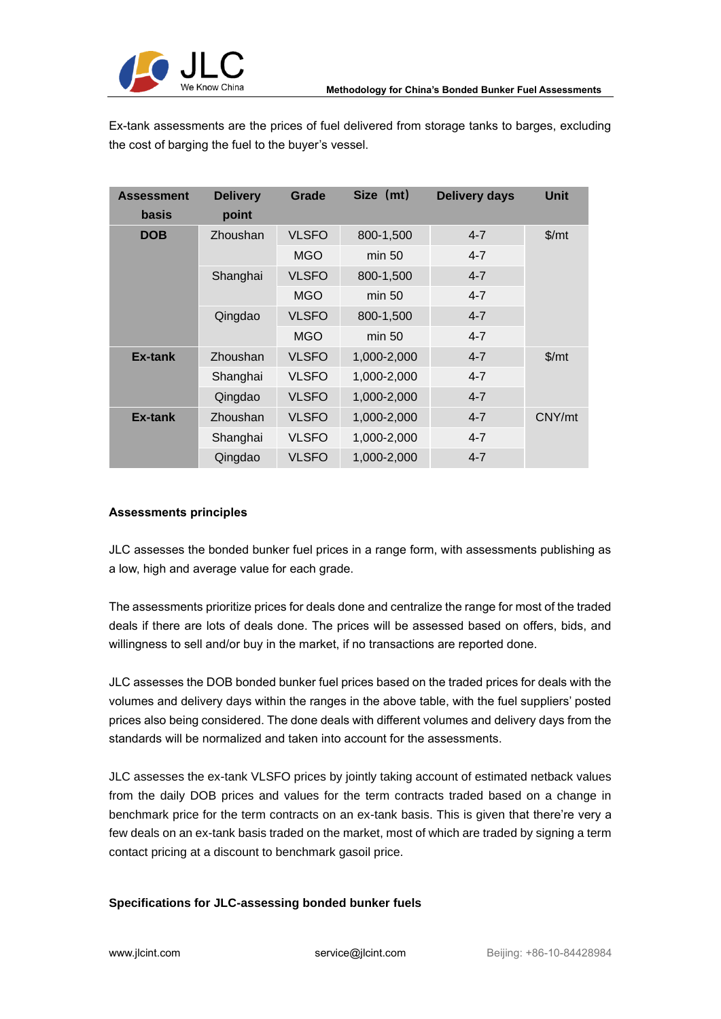

Ex-tank assessments are the prices of fuel delivered from storage tanks to barges, excluding the cost of barging the fuel to the buyer's vessel.

| <b>Assessment</b><br><b>basis</b> | <b>Delivery</b><br>point | Grade        | Size (mt)   | <b>Delivery days</b> | <b>Unit</b> |
|-----------------------------------|--------------------------|--------------|-------------|----------------------|-------------|
| <b>DOB</b>                        | Zhoushan                 | <b>VLSFO</b> | 800-1,500   | $4 - 7$              | \$/mt       |
|                                   |                          | <b>MGO</b>   | min 50      | $4 - 7$              |             |
|                                   | Shanghai                 | <b>VLSFO</b> | 800-1,500   | $4 - 7$              |             |
|                                   |                          | <b>MGO</b>   | min 50      | $4 - 7$              |             |
|                                   | Qingdao                  | <b>VLSFO</b> | 800-1,500   | $4 - 7$              |             |
|                                   |                          | <b>MGO</b>   | min 50      | $4 - 7$              |             |
| Ex-tank                           | Zhoushan                 | <b>VLSFO</b> | 1,000-2,000 | $4 - 7$              | \$/mt       |
|                                   | Shanghai                 | <b>VLSFO</b> | 1,000-2,000 | $4 - 7$              |             |
|                                   | Qingdao                  | <b>VLSFO</b> | 1,000-2,000 | $4 - 7$              |             |
| Ex-tank                           | Zhoushan                 | <b>VLSFO</b> | 1,000-2,000 | $4 - 7$              | CNY/mt      |
|                                   | Shanghai                 | <b>VLSFO</b> | 1,000-2,000 | $4 - 7$              |             |
|                                   | Qingdao                  | <b>VLSFO</b> | 1,000-2,000 | $4 - 7$              |             |

## **Assessments principles**

JLC assesses the bonded bunker fuel prices in a range form, with assessments publishing as a low, high and average value for each grade.

The assessments prioritize prices for deals done and centralize the range for most of the traded deals if there are lots of deals done. The prices will be assessed based on offers, bids, and willingness to sell and/or buy in the market, if no transactions are reported done.

JLC assesses the DOB bonded bunker fuel prices based on the traded prices for deals with the volumes and delivery days within the ranges in the above table, with the fuel suppliers' posted prices also being considered. The done deals with different volumes and delivery days from the standards will be normalized and taken into account for the assessments.

JLC assesses the ex-tank VLSFO prices by jointly taking account of estimated netback values from the daily DOB prices and values for the term contracts traded based on a change in benchmark price for the term contracts on an ex-tank basis. This is given that there're very a few deals on an ex-tank basis traded on the market, most of which are traded by signing a term contact pricing at a discount to benchmark gasoil price.

## **Specifications for JLC-assessing bonded bunker fuels**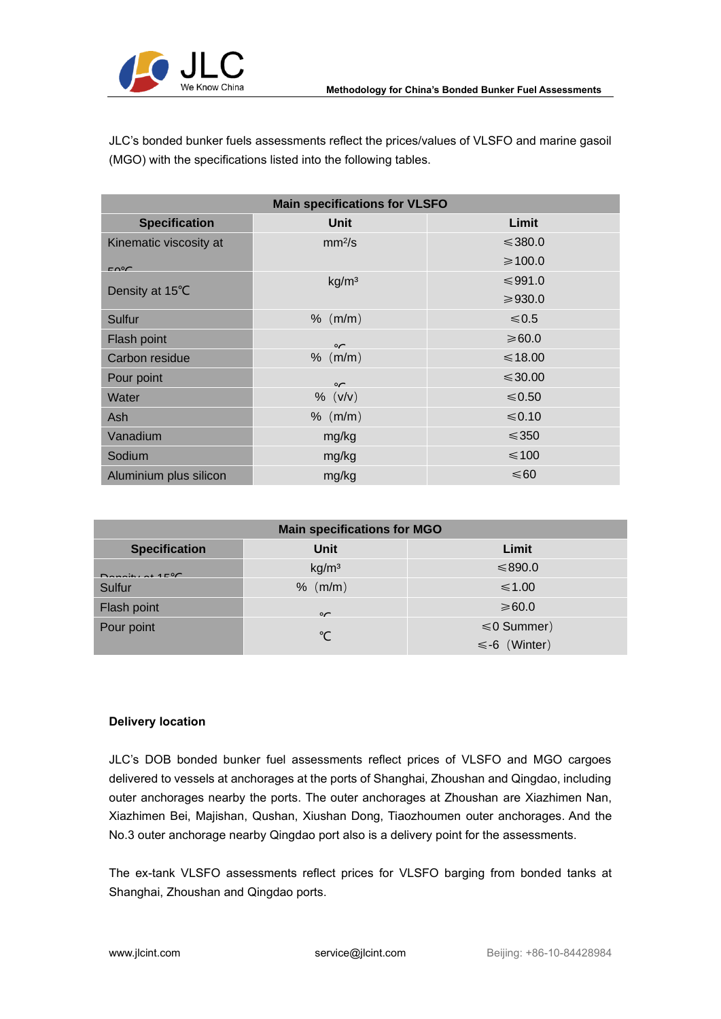

JLC's bonded bunker fuels assessments reflect the prices/values of VLSFO and marine gasoil (MGO) with the specifications listed into the following tables.

| <b>Main specifications for VLSFO</b> |                    |              |  |  |  |
|--------------------------------------|--------------------|--------------|--|--|--|
| <b>Specification</b>                 | <b>Unit</b>        | Limit        |  |  |  |
| Kinematic viscosity at               | mm <sup>2</sup> /s | $\leq 380.0$ |  |  |  |
| $F \cap C$                           |                    | ≥ 100.0      |  |  |  |
|                                      | kg/m <sup>3</sup>  | ≤991.0       |  |  |  |
| Density at 15°C                      |                    | ≥930.0       |  |  |  |
| Sulfur                               | % (m/m)            | $≤ 0.5$      |  |  |  |
| Flash point                          | $\sim$             | $≥60.0$      |  |  |  |
| Carbon residue                       | $%$ (m/m)          | $\leq 18.00$ |  |  |  |
| Pour point                           | $\sim$             | $\leq 30.00$ |  |  |  |
| Water                                | % (V/V)            | $\leq 0.50$  |  |  |  |
| Ash                                  | $%$ (m/m)          | $\leq 0.10$  |  |  |  |
| Vanadium                             | mg/kg              | $\leq 350$   |  |  |  |
| Sodium                               | mg/kg              | $\leq$ 100   |  |  |  |
| Aluminium plus silicon               | mg/kg              | $\leq 60$    |  |  |  |

| <b>Main specifications for MGO</b> |                   |                    |  |  |  |  |
|------------------------------------|-------------------|--------------------|--|--|--|--|
| <b>Specification</b>               | Unit              | Limit              |  |  |  |  |
| $D$ anaity of $4.5\%$              | kg/m <sup>3</sup> | $\leq 890.0$       |  |  |  |  |
| Sulfur                             | $%$ (m/m)         | $\leq 1.00$        |  |  |  |  |
| Flash point                        | $\sim$            | $\geq 60.0$        |  |  |  |  |
| Pour point                         | °C                | $\leq 0$ Summer)   |  |  |  |  |
|                                    |                   | $\leq$ -6 (Winter) |  |  |  |  |

## **Delivery location**

JLC's DOB bonded bunker fuel assessments reflect prices of VLSFO and MGO cargoes delivered to vessels at anchorages at the ports of Shanghai, Zhoushan and Qingdao, including outer anchorages nearby the ports. The outer anchorages at Zhoushan are Xiazhimen Nan, Xiazhimen Bei, Majishan, Qushan, Xiushan Dong, Tiaozhoumen outer anchorages. And the No.3 outer anchorage nearby Qingdao port also is a delivery point for the assessments.

The ex-tank VLSFO assessments reflect prices for VLSFO barging from bonded tanks at Shanghai, Zhoushan and Qingdao ports.